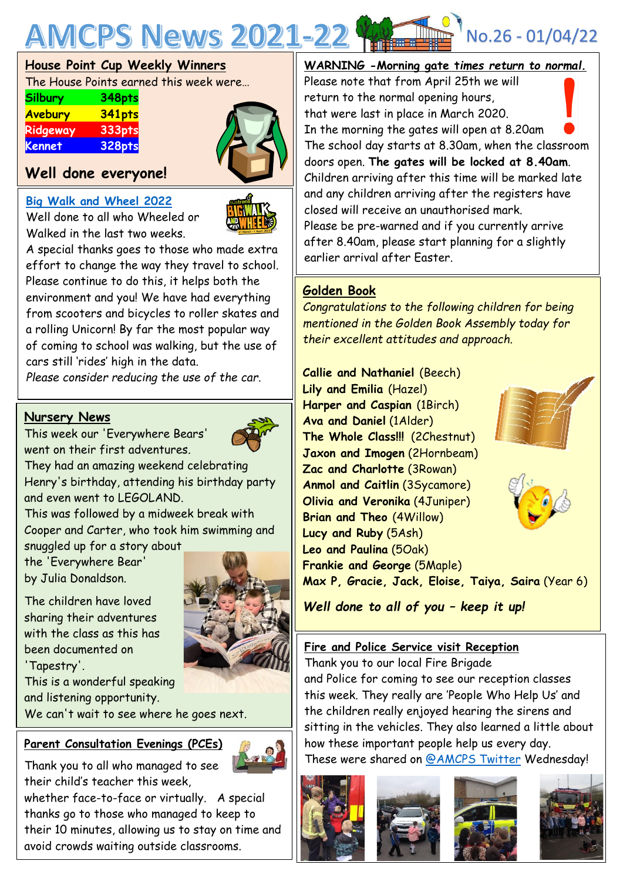

#### **House Point Cup Weekly Winners**

The House Points earned this week were…

| <b>Silbury</b> | 348pts |
|----------------|--------|
| Avebury        | 341pts |
| Ridgeway       | 333pts |
| <b>Kennet</b>  | 328pts |

#### **Well done everyone!**

#### **[Big Walk and Wheel 2022](https://bigwalkandwheel.org.uk/)**

Well done to all who Wheeled or Walked in the last two weeks.

A special thanks goes to those who made extra effort to change the way they travel to school. Please continue to do this, it helps both the environment and you! We have had everything from scooters and bicycles to roller skates and a rolling Unicorn! By far the most popular way of coming to school was walking, but the use of cars still 'rides' high in the data.

*Please consider reducing the use of the car.*

#### **Nursery News**

This week our 'Everywhere Bears' went on their first adventures.

They had an amazing weekend celebrating Henry's birthday, attending his birthday party and even went to LEGOLAND.

This was followed by a midweek break with Cooper and Carter, who took him swimming and snuggled up for a story about

the 'Everywhere Bear' by Julia Donaldson.

The children have loved sharing their adventures with the class as this has been documented on 'Tapestry'.

This is a wonderful speaking and listening opportunity.

We can't wait to see where he goes next.

#### **Parent Consultation Evenings (PCEs)**

Thank you to all who managed to see their child's teacher this week,

whether face-to-face or virtually. A special thanks go to those who managed to keep to their 10 minutes, allowing us to stay on time and avoid crowds waiting outside classrooms.



#### **WARNING -Morning gate t***imes return to normal***.**

Please note that from April 25th we will return to the normal opening hours, that were last in place in March 2020. In the morning the gates will open at 8.20am The school day starts at 8.30am, when the classroom doors open. **The gates will be locked at 8.40am**. Children arriving after this time will be marked late and any children arriving after the registers have closed will receive an unauthorised mark. Please be pre-warned and if you currently arrive after 8.40am, please start planning for a slightly earlier arrival after Easter.

#### **Golden Book**

*Congratulations to the following children for being mentioned in the Golden Book Assembly today for their excellent attitudes and approach.*

 **The Whole Class!!!** (2Chestnut) **Callie and Nathaniel** (Beech) **Lily and Emilia** (Hazel) **Harper and Caspian** (1Birch) **Ava and Daniel** (1Alder) **Jaxon and Imogen** (2Hornbeam) **Zac and Charlotte** (3Rowan) **Anmol and Caitlin** (3Sycamore) **Olivia and Veronika** (4Juniper) **Brian and Theo** (4Willow) **Lucy and Ruby** (5Ash) **Leo and Paulina** (5Oak) **Frankie and George** (5Maple) **Max P, Gracie, Jack, Eloise, Taiya, Saira** (Year 6)

*Well done to all of you – keep it up!*

#### **Fire and Police Service visit Reception**

Thank you to our local Fire Brigade and Police for coming to see our reception classes this week. They really are 'People Who Help Us' and the children really enjoyed hearing the sirens and sitting in the vehicles. They also learned a little about how these important people help us every day.

These were shared on [@AMCPS](https://mobile.twitter.com/AMCPS_Swindon) Twitter Wednesday!









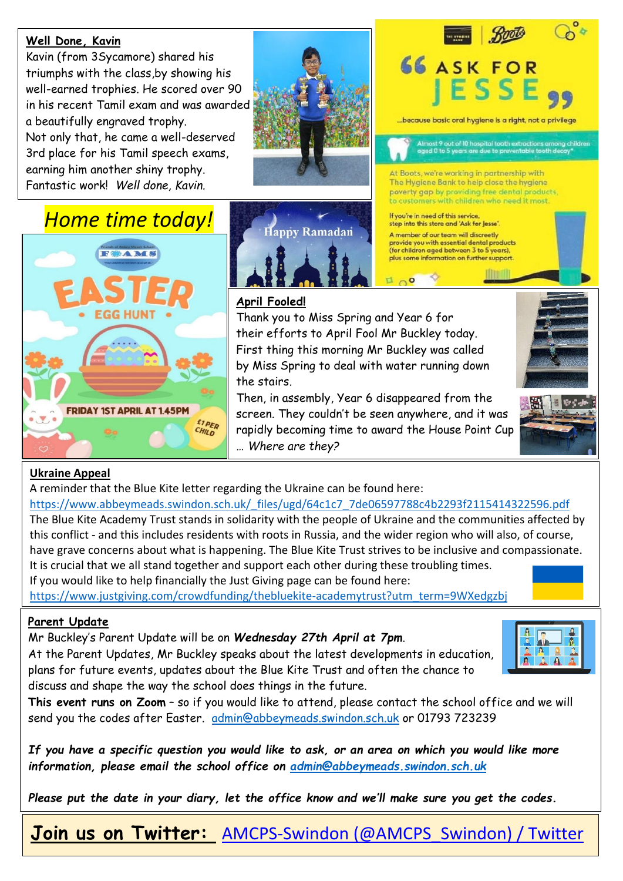#### **Well Done, Kavin**

Kavin (from 3Sycamore) shared his triumphs with the class,by showing his well-earned trophies. He scored over 90 in his recent Tamil exam and was awarded a beautifully engraved trophy. Not only that, he came a well-deserved 3rd place for his Tamil speech exams, earning him another shiny trophy. Fantastic work! *Well done, Kavin.*



# **66 ASK FOR** ESS ...because basic oral hygiene is a right, not a privilege

Almost 9 out of 10 hospital tooth extractions among children<br>aged 0 to 5 years are due to preventable tooth decay\*

At Boots, we're working in partnership with The Hygiene Bank to help close the hygiene poverty gap by providing free dental products, to customers with children who need it most.

If you're in need of this service step into this store and 'Ask for Jesse'.

E 00

A member of our team will discreetly provide you with essential dental products<br>(for children aged between 3 to 5 years),

plus some information on further support.

## *Home time today!*





### **April Fooled!**

Thank you to Miss Spring and Year 6 for their efforts to April Fool Mr Buckley today. First thing this morning Mr Buckley was called by Miss Spring to deal with water running down the stairs.

Then, in assembly, Year 6 disappeared from the screen. They couldn't be seen anywhere, and it was rapidly becoming time to award the House Point Cup *… Where are they?*



#### **Ukraine Appeal**

A reminder that the Blue Kite letter regarding the Ukraine can be found here:

[https://www.abbeymeads.swindon.sch.uk/\\_files/ugd/64c1c7\\_7de06597788c4b2293f2115414322596.pdf](https://www.abbeymeads.swindon.sch.uk/_files/ugd/64c1c7_7de06597788c4b2293f2115414322596.pdf) The Blue Kite Academy Trust stands in solidarity with the people of Ukraine and the communities affected by this conflict - and this includes residents with roots in Russia, and the wider region who will also, of course, have grave concerns about what is happening. The Blue Kite Trust strives to be inclusive and compassionate. It is crucial that we all stand together and support each other during these troubling times.

If you would like to help financially the Just Giving page can be found here:

[https://www.justgiving.com/crowdfunding/thebluekite-academytrust?utm\\_term=9WXedgzbj](https://www.justgiving.com/crowdfunding/thebluekite-academytrust?utm_term=9WXedgzbj)

#### **Parent Update**

Mr Buckley's Parent Update will be on *Wednesday 27th April at 7pm*.

At the Parent Updates, Mr Buckley speaks about the latest developments in education, plans for future events, updates about the Blue Kite Trust and often the chance to discuss and shape the way the school does things in the future.



**This event runs on Zoom** – so if you would like to attend, please contact the school office and we will send you the codes after Easter. <u>[admin@abbeymeads.swindon.sch.uk](mailto:admin@abbeymeads.swindon.sch.uk)</u> or 01793 723239

If you have a specific question you would like to ask, or an area on which you would like more *information, please email the school office on [admin@abbeymeads.swindon.sch.uk](mailto:admin@abbeymeads.swindon.sch.uk)*

*Please put the date in your diary, let the office know and we'll make sure you get the codes.*

**Join us on Twitter:** [AMCPS-Swindon \(@AMCPS\\_Swindon\) / Twitter](https://mobile.twitter.com/AMCPS_Swindon)